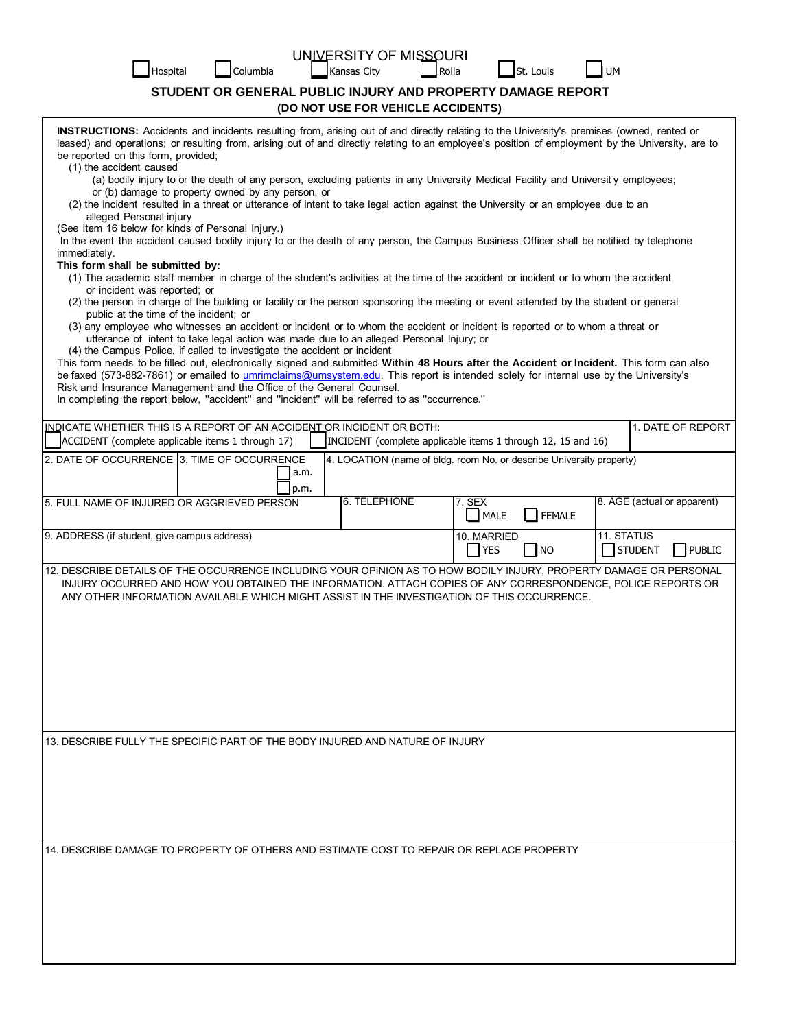| Hospital                                                                                                                                                                                                                                                                                                                                                                                                                                                                                                                                                                                                                                                                                                                                                                                                                                                                                                                                                                                                                                                                                                                                                                                                                                                                                                                                                                                                                                                                                                                                                                                                                                                                                                                                                                                                                                                                                                                                                                                                                                          | Columbia | UNIVERSITY OF MISSOURI<br>Rolla<br>Kansas City | St. Louis                              |                                               |
|---------------------------------------------------------------------------------------------------------------------------------------------------------------------------------------------------------------------------------------------------------------------------------------------------------------------------------------------------------------------------------------------------------------------------------------------------------------------------------------------------------------------------------------------------------------------------------------------------------------------------------------------------------------------------------------------------------------------------------------------------------------------------------------------------------------------------------------------------------------------------------------------------------------------------------------------------------------------------------------------------------------------------------------------------------------------------------------------------------------------------------------------------------------------------------------------------------------------------------------------------------------------------------------------------------------------------------------------------------------------------------------------------------------------------------------------------------------------------------------------------------------------------------------------------------------------------------------------------------------------------------------------------------------------------------------------------------------------------------------------------------------------------------------------------------------------------------------------------------------------------------------------------------------------------------------------------------------------------------------------------------------------------------------------------|----------|------------------------------------------------|----------------------------------------|-----------------------------------------------|
| STUDENT OR GENERAL PUBLIC INJURY AND PROPERTY DAMAGE REPORT                                                                                                                                                                                                                                                                                                                                                                                                                                                                                                                                                                                                                                                                                                                                                                                                                                                                                                                                                                                                                                                                                                                                                                                                                                                                                                                                                                                                                                                                                                                                                                                                                                                                                                                                                                                                                                                                                                                                                                                       |          |                                                |                                        |                                               |
| (DO NOT USE FOR VEHICLE ACCIDENTS)<br>INSTRUCTIONS: Accidents and incidents resulting from, arising out of and directly relating to the University's premises (owned, rented or<br>leased) and operations; or resulting from, arising out of and directly relating to an employee's position of employment by the University, are to<br>be reported on this form, provided;<br>(1) the accident caused<br>(a) bodily injury to or the death of any person, excluding patients in any University Medical Facility and University employees;<br>or (b) damage to property owned by any person, or<br>(2) the incident resulted in a threat or utterance of intent to take legal action against the University or an employee due to an<br>alleged Personal injury<br>(See Item 16 below for kinds of Personal Injury.)<br>In the event the accident caused bodily injury to or the death of any person, the Campus Business Officer shall be notified by telephone<br>immediately.<br>This form shall be submitted by:<br>(1) The academic staff member in charge of the student's activities at the time of the accident or incident or to whom the accident<br>or incident was reported; or<br>(2) the person in charge of the building or facility or the person sponsoring the meeting or event attended by the student or general<br>public at the time of the incident; or<br>(3) any employee who witnesses an accident or incident or to whom the accident or incident is reported or to whom a threat or<br>utterance of intent to take legal action was made due to an alleged Personal Injury; or<br>(4) the Campus Police, if called to investigate the accident or incident<br>This form needs to be filled out, electronically signed and submitted Within 48 Hours after the Accident or Incident. This form can also<br>be faxed (573-882-7861) or emailed to umrimclaims@umsystem.edu. This report is intended solely for internal use by the University's<br>Risk and Insurance Management and the Office of the General Counsel. |          |                                                |                                        |                                               |
| In completing the report below, "accident" and "incident" will be referred to as "occurrence."<br>INDICATE WHETHER THIS IS A REPORT OF AN ACCIDENT OR INCIDENT OR BOTH:<br>1. DATE OF REPORT                                                                                                                                                                                                                                                                                                                                                                                                                                                                                                                                                                                                                                                                                                                                                                                                                                                                                                                                                                                                                                                                                                                                                                                                                                                                                                                                                                                                                                                                                                                                                                                                                                                                                                                                                                                                                                                      |          |                                                |                                        |                                               |
| ACCIDENT (complete applicable items 1 through 17)<br>INCIDENT (complete applicable items 1 through 12, 15 and 16)                                                                                                                                                                                                                                                                                                                                                                                                                                                                                                                                                                                                                                                                                                                                                                                                                                                                                                                                                                                                                                                                                                                                                                                                                                                                                                                                                                                                                                                                                                                                                                                                                                                                                                                                                                                                                                                                                                                                 |          |                                                |                                        |                                               |
| 2. DATE OF OCCURRENCE 3. TIME OF OCCURRENCE<br>4. LOCATION (name of bldg. room No. or describe University property)<br>a.m.<br>p.m.                                                                                                                                                                                                                                                                                                                                                                                                                                                                                                                                                                                                                                                                                                                                                                                                                                                                                                                                                                                                                                                                                                                                                                                                                                                                                                                                                                                                                                                                                                                                                                                                                                                                                                                                                                                                                                                                                                               |          |                                                |                                        |                                               |
| 5. FULL NAME OF INJURED OR AGGRIEVED PERSON                                                                                                                                                                                                                                                                                                                                                                                                                                                                                                                                                                                                                                                                                                                                                                                                                                                                                                                                                                                                                                                                                                                                                                                                                                                                                                                                                                                                                                                                                                                                                                                                                                                                                                                                                                                                                                                                                                                                                                                                       |          | 6. TELEPHONE                                   | 7. SEX<br>$\Box$ FEMALE<br><b>MALE</b> | 8. AGE (actual or apparent)                   |
| 9. ADDRESS (if student, give campus address)                                                                                                                                                                                                                                                                                                                                                                                                                                                                                                                                                                                                                                                                                                                                                                                                                                                                                                                                                                                                                                                                                                                                                                                                                                                                                                                                                                                                                                                                                                                                                                                                                                                                                                                                                                                                                                                                                                                                                                                                      |          |                                                | 10. MARRIED<br> NO<br><b>YES</b>       | <b>11. STATUS</b><br>STUDENT<br><b>PUBLIC</b> |
| 12. DESCRIBE DETAILS OF THE OCCURRENCE INCLUDING YOUR OPINION AS TO HOW BODILY INJURY, PROPERTY DAMAGE OR PERSONAL<br>INJURY OCCURRED AND HOW YOU OBTAINED THE INFORMATION. ATTACH COPIES OF ANY CORRESPONDENCE, POLICE REPORTS OR<br>ANY OTHER INFORMATION AVAILABLE WHICH MIGHT ASSIST IN THE INVESTIGATION OF THIS OCCURRENCE.                                                                                                                                                                                                                                                                                                                                                                                                                                                                                                                                                                                                                                                                                                                                                                                                                                                                                                                                                                                                                                                                                                                                                                                                                                                                                                                                                                                                                                                                                                                                                                                                                                                                                                                 |          |                                                |                                        |                                               |
| 13. DESCRIBE FULLY THE SPECIFIC PART OF THE BODY INJURED AND NATURE OF INJURY                                                                                                                                                                                                                                                                                                                                                                                                                                                                                                                                                                                                                                                                                                                                                                                                                                                                                                                                                                                                                                                                                                                                                                                                                                                                                                                                                                                                                                                                                                                                                                                                                                                                                                                                                                                                                                                                                                                                                                     |          |                                                |                                        |                                               |
|                                                                                                                                                                                                                                                                                                                                                                                                                                                                                                                                                                                                                                                                                                                                                                                                                                                                                                                                                                                                                                                                                                                                                                                                                                                                                                                                                                                                                                                                                                                                                                                                                                                                                                                                                                                                                                                                                                                                                                                                                                                   |          |                                                |                                        |                                               |
| 14. DESCRIBE DAMAGE TO PROPERTY OF OTHERS AND ESTIMATE COST TO REPAIR OR REPLACE PROPERTY                                                                                                                                                                                                                                                                                                                                                                                                                                                                                                                                                                                                                                                                                                                                                                                                                                                                                                                                                                                                                                                                                                                                                                                                                                                                                                                                                                                                                                                                                                                                                                                                                                                                                                                                                                                                                                                                                                                                                         |          |                                                |                                        |                                               |